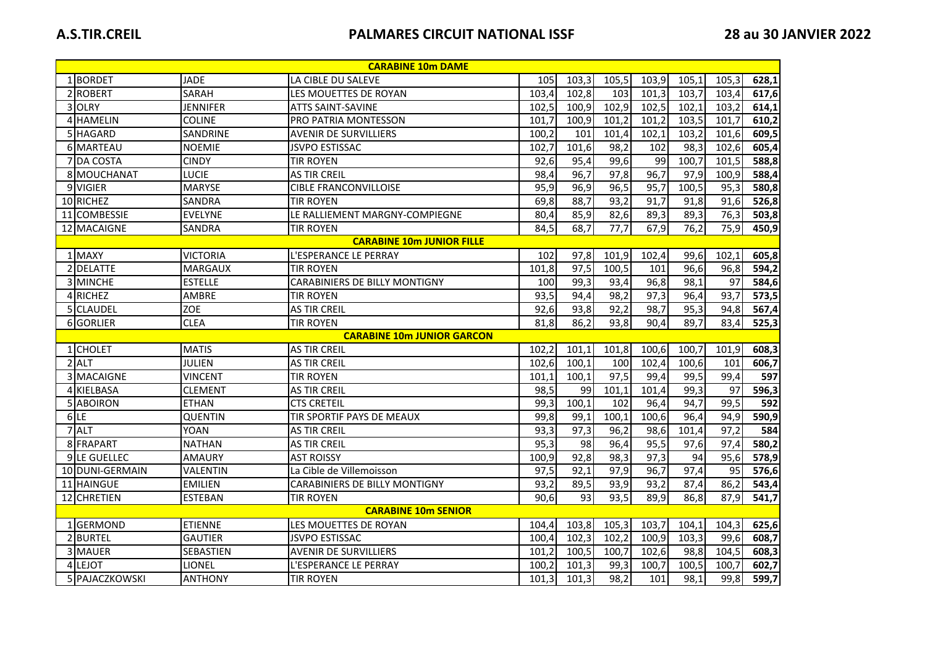| <b>CARABINE 10m DAME</b>          |                 |                                      |       |                   |                   |                   |       |       |       |
|-----------------------------------|-----------------|--------------------------------------|-------|-------------------|-------------------|-------------------|-------|-------|-------|
| 1BORDET                           | <b>JADE</b>     | LA CIBLE DU SALEVE                   | 105   | 103,3             | 105,5             | 103,9             | 105,1 | 105,3 | 628,1 |
| 2 ROBERT                          | <b>SARAH</b>    | LES MOUETTES DE ROYAN                | 103,4 | 102,8             | 103               | 101,3             | 103,7 | 103,4 | 617,6 |
| 3 OLRY                            | <b>JENNIFER</b> | <b>ATTS SAINT-SAVINE</b>             | 102,5 | 100,9             | 102,9             | 102,5             | 102,1 | 103,2 | 614,1 |
| 4 HAMELIN                         | <b>COLINE</b>   | PRO PATRIA MONTESSON                 | 101.7 | 100,9             | 101,2             | 101,2             | 103,5 | 101,7 | 610,2 |
| 5 HAGARD                          | SANDRINE        | <b>AVENIR DE SURVILLIERS</b>         | 100,2 | 101               | 101,4             | 102,1             | 103,2 | 101,6 | 609,5 |
| 6 MARTEAU                         | <b>NOEMIE</b>   | <b>JSVPO ESTISSAC</b>                | 102,7 | 101,6             | 98,2              | 102               | 98,3  | 102,6 | 605,4 |
| 7 JDA COSTA                       | <b>CINDY</b>    | <b>TIR ROYEN</b>                     | 92,6  | 95,4              | 99,6              | 99                | 100,7 | 101.5 | 588,8 |
| 8 MOUCHANAT                       | <b>LUCIE</b>    | <b>AS TIR CREIL</b>                  | 98,4  | 96,7              | 97,8              | $\overline{96,7}$ | 97,9  | 100,9 | 588,4 |
| 9 VIGIER                          | <b>MARYSE</b>   | <b>CIBLE FRANCONVILLOISE</b>         | 95,9  | 96,9              | 96,5              | 95,7              | 100,5 | 95.3  | 580,8 |
| 10 RICHEZ                         | SANDRA          | <b>TIR ROYEN</b>                     | 69,8  | 88,7              | 93,2              | 91,7              | 91,8  | 91,6  | 526,8 |
| 11 COMBESSIE                      | <b>EVELYNE</b>  | LE RALLIEMENT MARGNY-COMPIEGNE       | 80,4  | 85,9              | 82,6              | 89,3              | 89,3  | 76,3  | 503,8 |
| 12 MACAIGNE                       | <b>SANDRA</b>   | <b>TIR ROYEN</b>                     | 84,5  | 68,7              | 77,7              | 67,9              | 76,2  | 75,9  | 450,9 |
| <b>CARABINE 10m JUNIOR FILLE</b>  |                 |                                      |       |                   |                   |                   |       |       |       |
| 1 MAXY                            | <b>VICTORIA</b> | L'ESPERANCE LE PERRAY                | 102   | 97,8              | 101,9             | 102,4             | 99,6  | 102,1 | 605,8 |
| 2 DELATTE                         | <b>MARGAUX</b>  | <b>TIR ROYEN</b>                     | 101,8 | $\overline{97,5}$ | 100, 5            | 101               | 96,6  | 96,8  | 594,2 |
| 3 MINCHE                          | <b>ESTELLE</b>  | <b>CARABINIERS DE BILLY MONTIGNY</b> | 100   | 99,3              | 93,4              | 96,8              | 98,1  | 97    | 584,6 |
| 4 RICHEZ                          | AMBRE           | <b>TIR ROYEN</b>                     | 93,5  | 94,4              | 98,2              | 97,3              | 96,4  | 93,7  | 573,5 |
| 5 CLAUDEL                         | <b>ZOE</b>      | <b>AS TIR CREIL</b>                  | 92,6  | 93,8              | 92,2              | 98,7              | 95,3  | 94,8  | 567,4 |
| 6 GORLIER                         | <b>CLEA</b>     | <b>TIR ROYEN</b>                     | 81,8  | 86,2              | 93,8              | 90,4              | 89,7  | 83,4  | 525,3 |
| <b>CARABINE 10m JUNIOR GARCON</b> |                 |                                      |       |                   |                   |                   |       |       |       |
| 1 CHOLET                          | <b>MATIS</b>    | <b>AS TIR CREIL</b>                  | 102,2 | 101,1             | 101,8             | 100,6             | 100,7 | 101,9 | 608,3 |
| 2 ALT                             | <b>JULIEN</b>   | <b>AS TIR CREIL</b>                  | 102,6 | 100,1             | 100               | 102,4             | 100,6 | 101   | 606,7 |
| 3 MACAIGNE                        | <b>VINCENT</b>  | <b>TIR ROYEN</b>                     | 101,1 | 100,1             | $\overline{97,5}$ | $\overline{99,4}$ | 99,5  | 99,4  | 597   |
| 4 KIELBASA                        | <b>CLEMENT</b>  | <b>AS TIR CREIL</b>                  | 98,5  | 99                | 101,1             | 101,4             | 99,3  | 97    | 596,3 |
| 5 ABOIRON                         | <b>ETHAN</b>    | <b>CTS CRETEIL</b>                   | 99,3  | 100, 1            | 102               | 96,4              | 94,7  | 99,5  | 592   |
| $6$ LE                            | <b>QUENTIN</b>  | TIR SPORTIF PAYS DE MEAUX            | 99,8  | 99,1              | 100,1             | 100,6             | 96,4  | 94,9  | 590,9 |
| 7 ALT                             | <b>YOAN</b>     | <b>AS TIR CREIL</b>                  | 93,3  | 97,3              | 96,2              | 98,6              | 101,4 | 97,2  | 584   |
| 8 FRAPART                         | <b>NATHAN</b>   | <b>AS TIR CREIL</b>                  | 95,3  | 98                | 96,4              | 95,5              | 97,6  | 97,4  | 580,2 |
| 9 LE GUELLEC                      | <b>AMAURY</b>   | <b>AST ROISSY</b>                    | 100,9 | 92,8              | 98,3              | 97,3              | 94    | 95,6  | 578,9 |
| 10 DUNI-GERMAIN                   | VALENTIN        | La Cible de Villemoisson             | 97,5  | 92,1              | 97,9              | 96,7              | 97,4  | 95    | 576,6 |
| 11 HAINGUE                        | <b>EMILIEN</b>  | <b>CARABINIERS DE BILLY MONTIGNY</b> | 93,2  | 89,5              | 93,9              | 93,2              | 87,4  | 86,2  | 543,4 |
| 12 CHRETIEN                       | <b>ESTEBAN</b>  | <b>TIR ROYEN</b>                     | 90,6  | 93                | 93,5              | 89,9              | 86,8  | 87,9  | 541,7 |
| <b>CARABINE 10m SENIOR</b>        |                 |                                      |       |                   |                   |                   |       |       |       |
| 1 GERMOND                         | <b>ETIENNE</b>  | LES MOUETTES DE ROYAN                | 104,4 | 103,8             | 105,3             | 103,7             | 104,1 | 104,3 | 625,6 |
| 2 BURTEL                          | <b>GAUTIER</b>  | <b>JSVPO ESTISSAC</b>                | 100,4 | 102,3             | 102,2             | 100,9             | 103,3 | 99,6  | 608,7 |
| 3 MAUER                           | SEBASTIEN       | <b>AVENIR DE SURVILLIERS</b>         | 101,2 | 100,5             | 100,7             | 102,6             | 98,8  | 104,5 | 608,3 |
| 4 LEJOT                           | LIONEL          | L'ESPERANCE LE PERRAY                | 100,2 | 101,3             | 99,3              | 100,7             | 100,5 | 100,7 | 602,7 |
| 5 PAJACZKOWSKI                    | <b>ANTHONY</b>  | <b>TIR ROYEN</b>                     | 101,3 | 101,3             | 98,2              | 101               | 98,1  | 99,8  | 599,7 |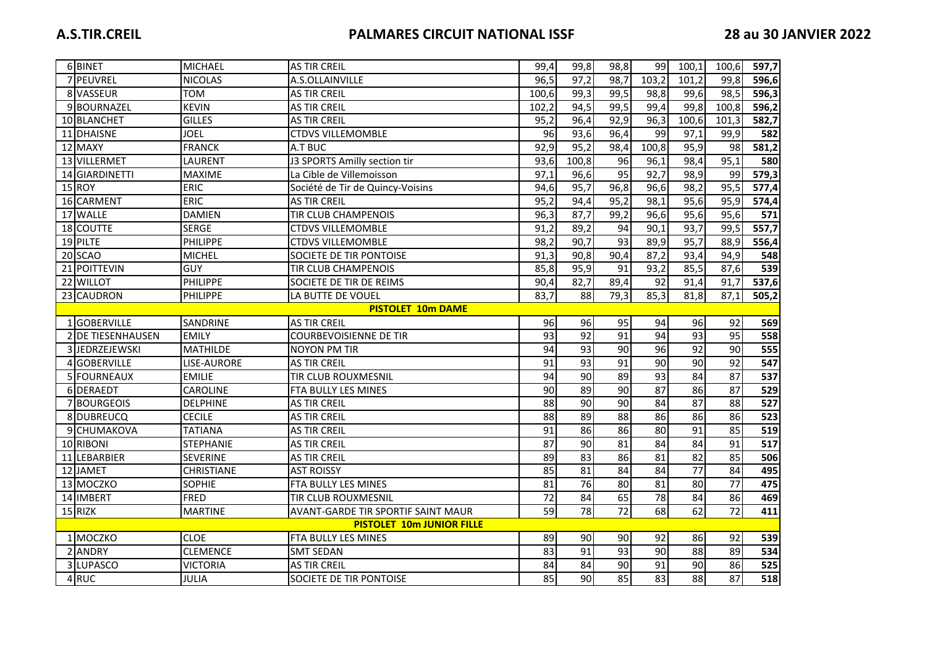|                                  | 6 BINET           | <b>MICHAEL</b>   | <b>AS TIR CREIL</b>                | 99,4            | 99,8              | 98,8            | 991               | 100,1           | 100,6           | 597,7 |
|----------------------------------|-------------------|------------------|------------------------------------|-----------------|-------------------|-----------------|-------------------|-----------------|-----------------|-------|
|                                  | 7 PEUVREL         | <b>NICOLAS</b>   | A.S.OLLAINVILLE                    | 96,5            | 97,2              | 98,7            | 103,2             | 101,2           | 99,8            | 596,6 |
|                                  | 8 VASSEUR         | <b>TOM</b>       | <b>AS TIR CREIL</b>                | 100,6           | 99,3              | 99,5            | 98,8              | 99,6            | 98,5            | 596,3 |
|                                  | 9BOURNAZEL        | <b>KEVIN</b>     | <b>AS TIR CREIL</b>                | 102,2           | 94,5              | 99,5            | 99,4              | 99,8            | 100,8           | 596,2 |
|                                  | 10 BLANCHET       | <b>GILLES</b>    | <b>AS TIR CREIL</b>                | 95,2            | 96,4              | 92,9            | 96,3              | 100,6           | 101,3           | 582,7 |
|                                  | 11 DHAISNE        | JOEL             | <b>CTDVS VILLEMOMBLE</b>           | 96              | 93,6              | 96,4            | 99                | 97,1            | 99,9            | 582   |
|                                  | 12 MAXY           | <b>FRANCK</b>    | A.T BUC                            | 92,9            | 95,2              | 98,4            | 100,8             | 95,9            | 98              | 581,2 |
|                                  | 13 VILLERMET      | LAURENT          | J3 SPORTS Amilly section tir       | 93,6            | 100,8             | 96              | 96,1              | 98,4            | 95,1            | 580   |
|                                  | 14 GIARDINETTI    | <b>MAXIME</b>    | La Cible de Villemoisson           | 97,1            | 96,6              | 95              | $\overline{92,7}$ | 98,9            | 99              | 579,3 |
|                                  | 15 ROY            | ERIC             | Société de Tir de Quincy-Voisins   | 94,6            | $\overline{95,7}$ | 96,8            | 96,6              | 98,2            | 95,5            | 577,4 |
|                                  | 16 CARMENT        | ERIC             | <b>AS TIR CREIL</b>                | 95,2            | 94,4              | 95,2            | 98,1              | 95,6            | 95,9            | 574,4 |
|                                  | 17 WALLE          | <b>DAMIEN</b>    | <b>TIR CLUB CHAMPENOIS</b>         | 96,3            | 87,7              | 99,2            | 96,6              | 95,6            | 95,6            | 571   |
|                                  | 18 COUTTE         | <b>SERGE</b>     | <b>CTDVS VILLEMOMBLE</b>           | 91,2            | 89,2              | 94              | 90,1              | 93,7            | 99,5            | 557,7 |
|                                  | 19 PILTE          | PHILIPPE         | <b>CTDVS VILLEMOMBLE</b>           | 98,2            | 90,7              | 93              | 89,9              | 95,7            | 88,9            | 556,4 |
|                                  | 20 SCAO           | <b>MICHEL</b>    | SOCIETE DE TIR PONTOISE            | 91,3            | 90,8              | 90,4            | 87,2              | 93,4            | 94,9            | 548   |
|                                  | 21 POITTEVIN      | GUY              | <b>TIR CLUB CHAMPENOIS</b>         | 85,8            | 95,9              | 91              | 93,2              | 85,5            | 87,6            | 539   |
|                                  | 22 WILLOT         | PHILIPPE         | SOCIETE DE TIR DE REIMS            | 90,4            | 82,7              | 89,4            | 92                | 91,4            | 91,7            | 537,6 |
|                                  | 23 CAUDRON        | <b>PHILIPPE</b>  | LA BUTTE DE VOUEL                  | 83,7            | 88                | 79,3            | 85,3              | 81,8            | 87,1            | 505,2 |
| <b>PISTOLET 10m DAME</b>         |                   |                  |                                    |                 |                   |                 |                   |                 |                 |       |
|                                  | 1 GOBERVILLE      | SANDRINE         | <b>AS TIR CREIL</b>                | 96              | 96                | 95              | 94                | 96              | 92              | 569   |
|                                  | 2 DE TIESENHAUSEN | <b>EMILY</b>     | <b>COURBEVOISIENNE DE TIR</b>      | 93              | 92                | 91              | 94                | 93              | 95              | 558   |
|                                  | 3 JEDRZEJEWSKI    | MATHILDE         | <b>NOYON PM TIR</b>                | 94              | 93                | 90              | $\overline{96}$   | $\overline{92}$ | 90              | 555   |
|                                  | 4 GOBERVILLE      | LISE-AURORE      | <b>AS TIR CREIL</b>                | $\overline{91}$ | 93                | 91              | 90                | 90              | $\overline{92}$ | 547   |
|                                  | 5 FOURNEAUX       | <b>EMILIE</b>    | TIR CLUB ROUXMESNIL                | $\overline{94}$ | $\overline{90}$   | 89              | 93                | 84              | 87              | 537   |
|                                  | 6 DERAEDT         | CAROLINE         | FTA BULLY LES MINES                | 90              | 89                | 90              | 87                | 86              | 87              | 529   |
|                                  | 7 BOURGEOIS       | <b>DELPHINE</b>  | <b>AS TIR CREIL</b>                | $\overline{88}$ | $\overline{90}$   | $\overline{90}$ | 84                | 87              | 88              | 527   |
|                                  | 8 DUBREUCQ        | <b>CECILE</b>    | <b>AS TIR CREIL</b>                | $\overline{88}$ | 89                | $\overline{88}$ | 86                | 86              | 86              | 523   |
|                                  | 9 CHUMAKOVA       | <b>TATIANA</b>   | <b>AS TIR CREIL</b>                | 91              | 86                | 86              | 80                | $\overline{91}$ | 85              | 519   |
|                                  | 10 RIBONI         | <b>STEPHANIE</b> | <b>AS TIR CREIL</b>                | 87              | 90                | 81              | 84                | 84              | 91              | 517   |
|                                  | 11 LEBARBIER      | SEVERINE         | <b>AS TIR CREIL</b>                | 89              | 83                | 86              | $\overline{81}$   | 82              | 85              | 506   |
|                                  | 12 JAMET          | CHRISTIANE       | <b>AST ROISSY</b>                  | 85              | 81                | 84              | $\overline{84}$   | $\overline{77}$ | 84              | 495   |
|                                  | 13 MOCZKO         | <b>SOPHIE</b>    | FTA BULLY LES MINES                | 81              | $\overline{76}$   | 80              | $\overline{81}$   | $\overline{80}$ | 77              | 475   |
|                                  | 14 IMBERT         | FRED             | TIR CLUB ROUXMESNIL                | $\overline{72}$ | 84                | 65              | 78                | 84              | 86              | 469   |
|                                  | 15 RIZK           | <b>MARTINE</b>   | AVANT-GARDE TIR SPORTIF SAINT MAUR | 59              | $\overline{78}$   | $\overline{72}$ | 68                | 62              | $\overline{72}$ | 411   |
| <b>PISTOLET 10m JUNIOR FILLE</b> |                   |                  |                                    |                 |                   |                 |                   |                 |                 |       |
|                                  | 1 MOCZKO          | <b>CLOE</b>      | FTA BULLY LES MINES                | 89              | 90                | 90              | 92                | 86              | 92              | 539   |
|                                  | 2 ANDRY           | CLEMENCE         | <b>SMT SEDAN</b>                   | 83              | 91                | 93              | 90                | 88              | 89              | 534   |
|                                  | 3 LUPASCO         | <b>VICTORIA</b>  | <b>AS TIR CREIL</b>                | 84              | 84                | 90              | 91                | 90              | 86              | 525   |
|                                  | 4RUC              | JULIA            | SOCIETE DE TIR PONTOISE            | 85              | 90                | 85              | 83                | 88              | 87              | 518   |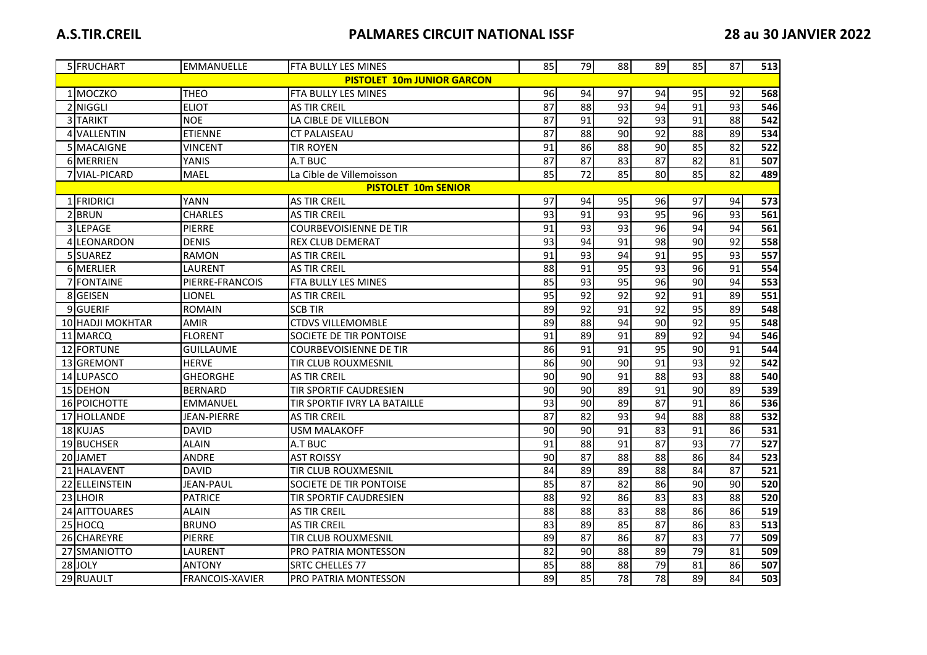|                                   | 5 FRUCHART       | <b>EMMANUELLE</b> | <b>FTA BULLY LES MINES</b>    | 85              | 79              | 88              | 89              | 85              | 87              | 513              |
|-----------------------------------|------------------|-------------------|-------------------------------|-----------------|-----------------|-----------------|-----------------|-----------------|-----------------|------------------|
| <b>PISTOLET 10m JUNIOR GARCON</b> |                  |                   |                               |                 |                 |                 |                 |                 |                 |                  |
|                                   | 1 MOCZKO         | <b>THEO</b>       | FTA BULLY LES MINES           | 96              | 94              | 97              | 94              | 95              | 92              | 568              |
|                                   | 2 NIGGLI         | <b>ELIOT</b>      | <b>AS TIR CREIL</b>           | 87              | 88              | 93              | 94              | 91              | 93              | 546              |
|                                   | 3 TARIKT         | <b>NOE</b>        | LA CIBLE DE VILLEBON          | 87              | 91              | 92              | 93              | 91              | 88              | 542              |
|                                   | 4 VALLENTIN      | <b>ETIENNE</b>    | <b>CT PALAISEAU</b>           | 87              | 88              | 90              | 92              | 88              | 89              | 534              |
|                                   | 5 MACAIGNE       | <b>VINCENT</b>    | <b>TIR ROYEN</b>              | 91              | 86              | $\overline{88}$ | $\overline{90}$ | 85              | $\overline{82}$ | $\overline{522}$ |
|                                   | 6 MERRIEN        | YANIS             | A.T BUC                       | 87              | 87              | 83              | 87              | 82              | 81              | 507              |
|                                   | 7 VIAL-PICARD    | <b>MAEL</b>       | La Cible de Villemoisson      | 85              | $\overline{72}$ | 85              | 80              | 85              | 82              | 489              |
|                                   |                  |                   | <b>PISTOLET 10m SENIOR</b>    |                 |                 |                 |                 |                 |                 |                  |
|                                   | 1 FRIDRICI       | <b>YANN</b>       | <b>AS TIR CREIL</b>           | 97              | 94              | 95              | 96              | 97              | 94              | 573              |
|                                   | 2BRUN            | <b>CHARLES</b>    | <b>AS TIR CREIL</b>           | $\overline{93}$ | $\overline{91}$ | $\overline{93}$ | $\overline{95}$ | 96              | $\overline{93}$ | 561              |
|                                   | 3 LEPAGE         | <b>PIERRE</b>     | <b>COURBEVOISIENNE DE TIR</b> | $\overline{91}$ | 93              | 93              | $\overline{96}$ | $\overline{94}$ | $\overline{94}$ | 561              |
|                                   | 4 LEONARDON      | <b>DENIS</b>      | <b>REX CLUB DEMERAT</b>       | 93              | 94              | 91              | 98              | 90              | $\overline{92}$ | 558              |
|                                   | 5 SUAREZ         | <b>RAMON</b>      | <b>AS TIR CREIL</b>           | 91              | 93              | 94              | 91              | 95              | 93              | 557              |
|                                   | 6 MERLIER        | LAURENT           | <b>AS TIR CREIL</b>           | 88              | 91              | 95              | 93              | 96              | 91              | 554              |
|                                   | 7 FONTAINE       | PIERRE-FRANCOIS   | FTA BULLY LES MINES           | 85              | 93              | 95              | 96              | 90              | 94              | 553              |
|                                   | 8 GEISEN         | LIONEL            | <b>AS TIR CREIL</b>           | $\overline{95}$ | $\overline{92}$ | $\overline{92}$ | 92              | $\overline{91}$ | 89              | 551              |
|                                   | 9 GUERIF         | <b>ROMAIN</b>     | <b>SCB TIR</b>                | 89              | 92              | 91              | 92              | 95              | 89              | 548              |
|                                   | 10 HADJI MOKHTAR | AMIR              | <b>CTDVS VILLEMOMBLE</b>      | 89              | 88              | $\overline{94}$ | $\overline{90}$ | 92              | $\overline{95}$ | 548              |
|                                   | 11 MARCQ         | <b>FLORENT</b>    | SOCIETE DE TIR PONTOISE       | 91              | 89              | $\overline{91}$ | 89              | 92              | 94              | 546              |
|                                   | 12 FORTUNE       | <b>GUILLAUME</b>  | <b>COURBEVOISIENNE DE TIR</b> | 86              | 91              | 91              | 95              | 90              | 91              | 544              |
|                                   | 13 GREMONT       | <b>HERVE</b>      | <b>TIR CLUB ROUXMESNIL</b>    | 86              | 90              | $\overline{90}$ | $\overline{91}$ | 93              | $\overline{92}$ | 542              |
|                                   | 14 LUPASCO       | <b>GHEORGHE</b>   | <b>AS TIR CREIL</b>           | 90              | $\overline{90}$ | $\overline{91}$ | $\overline{88}$ | 93              | $\overline{88}$ | 540              |
|                                   | 15 DEHON         | <b>BERNARD</b>    | <b>TIR SPORTIF CAUDRESIEN</b> | 90              | 90              | 89              | $\overline{91}$ | 90              | 89              | 539              |
|                                   | 16 POICHOTTE     | <b>EMMANUEL</b>   | TIR SPORTIF IVRY LA BATAILLE  | 93              | 90              | 89              | 87              | 91              | 86              | 536              |
|                                   | 17 HOLLANDE      | JEAN-PIERRE       | <b>AS TIR CREIL</b>           | 87              | 82              | 93              | $\overline{94}$ | 88              | 88              | 532              |
|                                   | 18 KUJAS         | <b>DAVID</b>      | <b>USM MALAKOFF</b>           | 90              | 90              | 91              | $\overline{83}$ | 91              | 86              | 531              |
|                                   | 19 BUCHSER       | <b>ALAIN</b>      | A.T BUC                       | 91              | 88              | $\overline{91}$ | $\overline{87}$ | 93              | $\overline{77}$ | 527              |
|                                   | 20 JAMET         | ANDRE             | <b>AST ROISSY</b>             | $\overline{90}$ | 87              | 88              | $\overline{88}$ | 86              | 84              | 523              |
|                                   | 21 HALAVENT      | <b>DAVID</b>      | TIR CLUB ROUXMESNIL           | 84              | 89              | 89              | $\overline{88}$ | 84              | $\overline{87}$ | 521              |
|                                   | 22 ELLEINSTEIN   | <b>JEAN-PAUL</b>  | SOCIETE DE TIR PONTOISE       | 85              | $\overline{87}$ | $\overline{82}$ | 86              | $\overline{90}$ | $\overline{90}$ | 520              |
|                                   | 23 LHOIR         | <b>PATRICE</b>    | <b>TIR SPORTIF CAUDRESIEN</b> | $\overline{88}$ | $\overline{92}$ | 86              | $\overline{83}$ | $\overline{83}$ | $\overline{88}$ | 520              |
|                                   | 24 AITTOUARES    | <b>ALAIN</b>      | <b>AS TIR CREIL</b>           | 88              | 88              | 83              | 88              | 86              | 86              | 519              |
|                                   | 25 HOCQ          | <b>BRUNO</b>      | <b>AS TIR CREIL</b>           | 83              | 89              | 85              | $\overline{87}$ | 86              | 83              | 513              |
|                                   | 26 CHAREYRE      | <b>PIERRE</b>     | <b>TIR CLUB ROUXMESNIL</b>    | 89              | 87              | 86              | 87              | 83              | $\overline{77}$ | 509              |
|                                   | 27 SMANIOTTO     | LAURENT           | PRO PATRIA MONTESSON          | 82              | 90              | 88              | 89              | 79              | 81              | 509              |
|                                   | 28 JOLY          | ANTONY            | <b>SRTC CHELLES 77</b>        | 85              | 88              | 88              | 79              | 81              | 86              | 507              |
|                                   | 29 RUAULT        | FRANCOIS-XAVIER   | <b>PRO PATRIA MONTESSON</b>   | 89              | 85              | 78              | 78              | 89              | 84              | 503              |